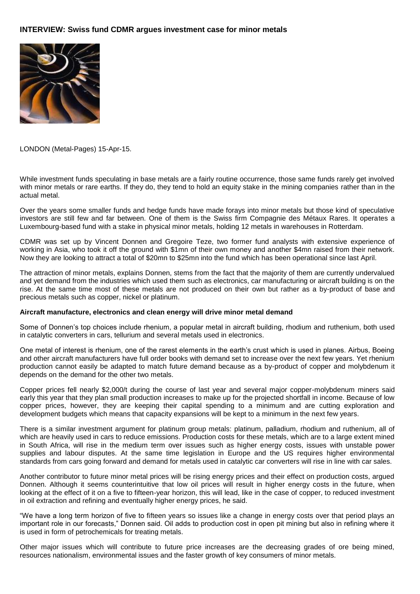## **INTERVIEW: Swiss fund CDMR argues investment case for minor metals**



LONDON (Metal-Pages) 15-Apr-15.

While investment funds speculating in base metals are a fairly routine occurrence, those same funds rarely get involved with minor metals or rare earths. If they do, they tend to hold an equity stake in the mining companies rather than in the actual metal.

Over the years some smaller funds and hedge funds have made forays into minor metals but those kind of speculative investors are still few and far between. One of them is the Swiss firm Compagnie des Métaux Rares. It operates a Luxembourg-based fund with a stake in physical minor metals, holding 12 metals in warehouses in Rotterdam.

CDMR was set up by Vincent Donnen and Gregoire Teze, two former fund analysts with extensive experience of working in Asia, who took it off the ground with \$1mn of their own money and another \$4mn raised from their network. Now they are looking to attract a total of \$20mn to \$25mn into the fund which has been operational since last April.

The attraction of minor metals, explains Donnen, stems from the fact that the majority of them are currently undervalued and yet demand from the industries which used them such as electronics, car manufacturing or aircraft building is on the rise. At the same time most of these metals are not produced on their own but rather as a by-product of base and precious metals such as copper, nickel or platinum.

## **Aircraft manufacture, electronics and clean energy will drive minor metal demand**

Some of Donnen's top choices include rhenium, a popular metal in aircraft building, rhodium and ruthenium, both used in catalytic converters in cars, tellurium and several metals used in electronics.

One metal of interest is rhenium, one of the rarest elements in the earth's crust which is used in planes. Airbus, Boeing and other aircraft manufacturers have full order books with demand set to increase over the next few years. Yet rhenium production cannot easily be adapted to match future demand because as a by-product of copper and molybdenum it depends on the demand for the other two metals.

Copper prices fell nearly \$2,000/t during the course of last year and several major copper-molybdenum miners said early this year that they plan small production increases to make up for the projected shortfall in income. Because of low copper prices, however, they are keeping their capital spending to a minimum and are cutting exploration and development budgets which means that capacity expansions will be kept to a minimum in the next few years.

There is a similar investment argument for platinum group metals: platinum, palladium, rhodium and ruthenium, all of which are heavily used in cars to reduce emissions. Production costs for these metals, which are to a large extent mined in South Africa, will rise in the medium term over issues such as higher energy costs, issues with unstable power supplies and labour disputes. At the same time legislation in Europe and the US requires higher environmental standards from cars going forward and demand for metals used in catalytic car converters will rise in line with car sales.

Another contributor to future minor metal prices will be rising energy prices and their effect on production costs, argued Donnen. Although it seems counterintuitive that low oil prices will result in higher energy costs in the future, when looking at the effect of it on a five to fifteen-year horizon, this will lead, like in the case of copper, to reduced investment in oil extraction and refining and eventually higher energy prices, he said.

"We have a long term horizon of five to fifteen years so issues like a change in energy costs over that period plays an important role in our forecasts," Donnen said. Oil adds to production cost in open pit mining but also in refining where it is used in form of petrochemicals for treating metals.

Other major issues which will contribute to future price increases are the decreasing grades of ore being mined, resources nationalism, environmental issues and the faster growth of key consumers of minor metals.